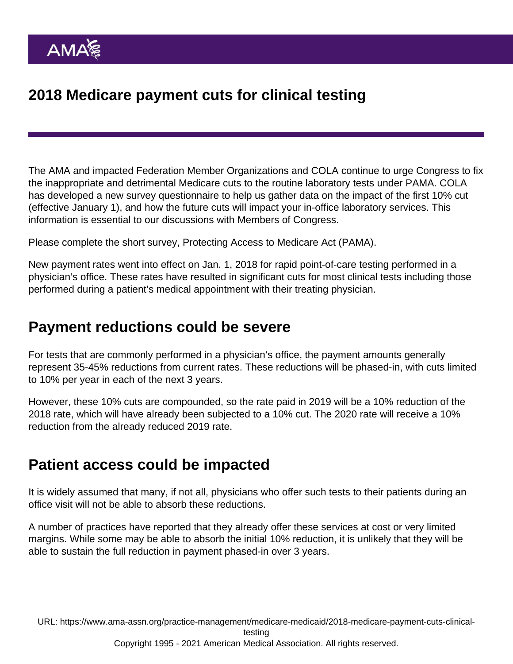# 2018 Medicare payment cuts for clinical testing

The AMA and impacted Federation Member Organizations and COLA continue to urge Congress to fix the inappropriate and detrimental Medicare cuts to the routine laboratory tests under PAMA. COLA has developed a new survey questionnaire to help us gather data on the impact of the first 10% cut (effective January 1), and how the future cuts will impact your in-office laboratory services. This information is essential to our discussions with Members of Congress.

[Please complete the short survey, Protecting Access to Medicare Act \(PAMA\).](http://www.nearpatienttestingmatters.org/clinical-lab-fee-schedule-for-medicare/)

New payment rates went into effect on Jan. 1, 2018 for rapid point-of-care testing performed in a physician's office. These rates have resulted in significant cuts for most clinical tests including those performed during a patient's medical appointment with their treating physician.

### Payment reductions could be severe

For tests that are commonly performed in a physician's office, the payment amounts generally represent 35-45% reductions from current rates. These reductions will be phased-in, with cuts limited to 10% per year in each of the next 3 years.

However, these 10% cuts are compounded, so the rate paid in 2019 will be a 10% reduction of the 2018 rate, which will have already been subjected to a 10% cut. The 2020 rate will receive a 10% reduction from the already reduced 2019 rate.

### Patient access could be impacted

It is widely assumed that many, if not all, physicians who offer such tests to their patients during an office visit will not be able to absorb these reductions.

A number of practices have reported that they already offer these services at cost or very limited margins. While some may be able to absorb the initial 10% reduction, it is unlikely that they will be able to sustain the full reduction in payment phased-in over 3 years.

URL: [https://www.ama-assn.org/practice-management/medicare-medicaid/2018-medicare-payment-cuts-clinical](https://www.ama-assn.org/practice-management/medicare-medicaid/2018-medicare-payment-cuts-clinical-testing)[testing](https://www.ama-assn.org/practice-management/medicare-medicaid/2018-medicare-payment-cuts-clinical-testing) Copyright 1995 - 2021 American Medical Association. All rights reserved.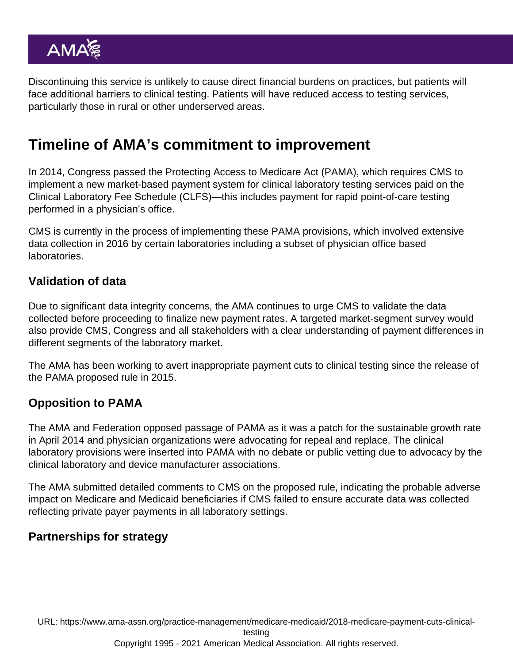Discontinuing this service is unlikely to cause direct financial burdens on practices, but patients will face additional barriers to clinical testing. Patients will have reduced access to testing services, particularly those in rural or other underserved areas.

## Timeline of AMA's commitment to improvement

In 2014, Congress passed the Protecting Access to Medicare Act (PAMA), which requires CMS to implement a new market-based payment system for clinical laboratory testing services paid on the Clinical Laboratory Fee Schedule (CLFS)—this includes payment for rapid point-of-care testing performed in a physician's office.

CMS is currently in the process of implementing these PAMA provisions, which involved extensive data collection in 2016 by certain laboratories including a subset of physician office based laboratories.

#### Validation of data

Due to significant data integrity concerns, the AMA continues to urge CMS to validate the data collected before proceeding to finalize new payment rates. A targeted market-segment survey would also provide CMS, Congress and all stakeholders with a clear understanding of payment differences in different segments of the laboratory market.

The AMA has been working to avert inappropriate payment cuts to clinical testing since the release of the PAMA proposed rule in 2015.

#### Opposition to PAMA

The AMA and Federation opposed passage of PAMA as it was a patch for the sustainable growth rate in April 2014 and physician organizations were advocating for repeal and replace. The clinical laboratory provisions were inserted into PAMA with no debate or public vetting due to advocacy by the clinical laboratory and device manufacturer associations.

The AMA submitted detailed comments to CMS on the proposed rule, indicating the probable adverse impact on Medicare and Medicaid beneficiaries if CMS failed to ensure accurate data was collected reflecting private payer payments in all laboratory settings.

### Partnerships for strategy

URL: [https://www.ama-assn.org/practice-management/medicare-medicaid/2018-medicare-payment-cuts-clinical](https://www.ama-assn.org/practice-management/medicare-medicaid/2018-medicare-payment-cuts-clinical-testing)[testing](https://www.ama-assn.org/practice-management/medicare-medicaid/2018-medicare-payment-cuts-clinical-testing)

Copyright 1995 - 2021 American Medical Association. All rights reserved.